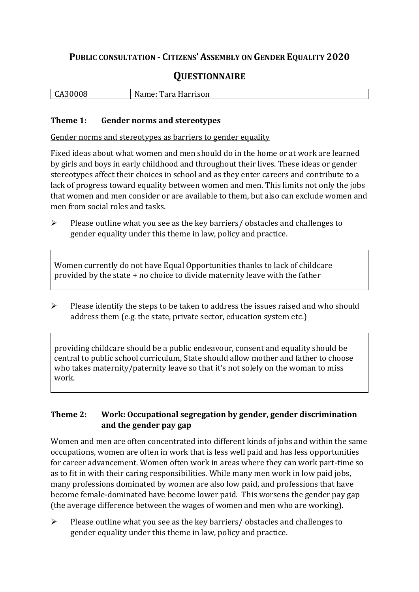# **PUBLIC CONSULTATION - CITIZENS' ASSEMBLY ON GENDER EQUALITY 2020**

# **QUESTIONNAIRE**

| $\Omega$<br>,,,<br><u>GASUUUO</u> | N.<br>Harrison<br>'ara<br>$\sim$ $\sim$ $\sim$ |
|-----------------------------------|------------------------------------------------|
|                                   |                                                |

#### **Theme 1: Gender norms and stereotypes**

Gender norms and stereotypes as barriers to gender equality

Fixed ideas about what women and men should do in the home or at work are learned by girls and boys in early childhood and throughout their lives. These ideas or gender stereotypes affect their choices in school and as they enter careers and contribute to a lack of progress toward equality between women and men. This limits not only the jobs that women and men consider or are available to them, but also can exclude women and men from social roles and tasks.

➢ Please outline what you see as the key barriers/ obstacles and challenges to gender equality under this theme in law, policy and practice.

Women currently do not have Equal Opportunities thanks to lack of childcare provided by the state + no choice to divide maternity leave with the father

➢ Please identify the steps to be taken to address the issues raised and who should address them (e.g. the state, private sector, education system etc.)

providing childcare should be a public endeavour, consent and equality should be central to public school curriculum, State should allow mother and father to choose who takes maternity/paternity leave so that it's not solely on the woman to miss work.

# **Theme 2: Work: Occupational segregation by gender, gender discrimination and the gender pay gap**

Women and men are often concentrated into different kinds of jobs and within the same occupations, women are often in work that is less well paid and has less opportunities for career advancement. Women often work in areas where they can work part-time so as to fit in with their caring responsibilities. While many men work in low paid jobs, many professions dominated by women are also low paid, and professions that have become female-dominated have become lower paid. This worsens the gender pay gap (the average difference between the wages of women and men who are working).

➢ Please outline what you see as the key barriers/ obstacles and challenges to gender equality under this theme in law, policy and practice.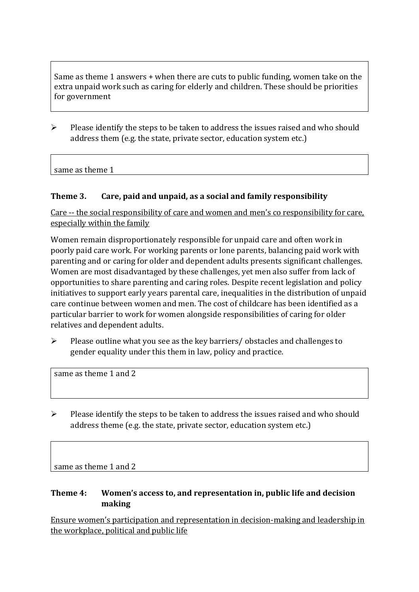Same as theme 1 answers + when there are cuts to public funding, women take on the extra unpaid work such as caring for elderly and children. These should be priorities for government

➢ Please identify the steps to be taken to address the issues raised and who should address them (e.g. the state, private sector, education system etc.)

same as theme 1

## **Theme 3. Care, paid and unpaid, as a social and family responsibility**

Care -- the social responsibility of care and women and men's co responsibility for care, especially within the family

Women remain disproportionately responsible for unpaid care and often work in poorly paid care work. For working parents or [lone parents,](https://aran.library.nuigalway.ie/bitstream/handle/10379/6044/Millar_and_Crosse_Activation_Report.pdf?sequence=1&isAllowed=y) balancing paid work with parenting and or caring for older and dependent adults presents significant challenges. Women are [most disadvantaged by these challenges,](https://eige.europa.eu/gender-equality-index/game/IE/W) yet men also suffer from lack of opportunities to share parenting and caring roles. Despite recent legislation and policy initiatives to support early years parental care, [inequalities in the distribution of unpaid](https://www.ihrec.ie/app/uploads/2019/07/Caring-and-Unpaid-Work-in-Ireland_Final.pdf)  [care](https://www.ihrec.ie/app/uploads/2019/07/Caring-and-Unpaid-Work-in-Ireland_Final.pdf) continue between women and men. The cost of childcare has been identified as a particular barrier to work for women alongside responsibilities of caring for older relatives and dependent adults.

➢ Please outline what you see as the key barriers/ obstacles and challenges to gender equality under this them in law, policy and practice.

same as theme 1 and 2

 $\triangleright$  Please identify the steps to be taken to address the issues raised and who should address theme (e.g. the state, private sector, education system etc.)

same as theme 1 and 2

## **Theme 4: Women's access to, and representation in, public life and decision making**

Ensure women's participation and representation in decision-making and leadership in the workplace, political and public life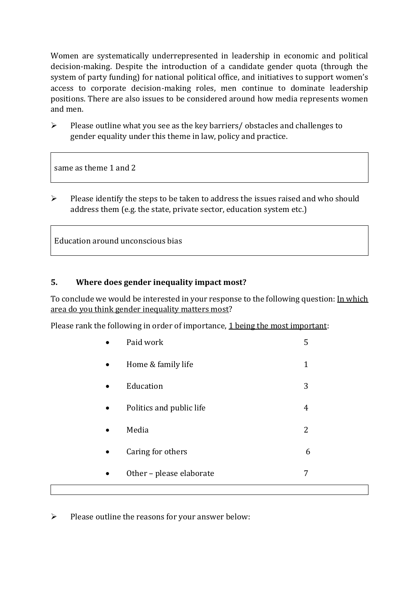Women are systematically underrepresented in leadership in [economic](https://eige.europa.eu/gender-equality-index/2019/compare-countries/power/2/bar) and [political](https://eige.europa.eu/gender-equality-index/2019/compare-countries/power/1/bar)  [decision-](https://eige.europa.eu/gender-equality-index/2019/compare-countries/power/1/bar)making. Despite the introduction of a candidate gender quota (through the system of party funding) for national political office, and [initiatives](https://betterbalance.ie/) to support women's access to corporate decision-making roles, men continue to dominate leadership positions. There are also issues to be considered around how media represents women and men.

➢ Please outline what you see as the key barriers/ obstacles and challenges to gender equality under this theme in law, policy and practice.

same as theme 1 and 2

 $\triangleright$  Please identify the steps to be taken to address the issues raised and who should address them (e.g. the state, private sector, education system etc.)

Education around unconscious bias

## **5. Where does gender inequality impact most?**

To conclude we would be interested in your response to the following question: In which area do you think gender inequality matters most?

Please rank the following in order of importance, 1 being the most important:

|           | Paid work                | 5              |
|-----------|--------------------------|----------------|
| $\bullet$ | Home & family life       | $\mathbf{1}$   |
| $\bullet$ | Education                | 3              |
| $\bullet$ | Politics and public life | $\overline{4}$ |
| $\bullet$ | Media                    | 2              |
| $\bullet$ | Caring for others        | 6              |
|           | Other - please elaborate | 7              |
|           |                          |                |

➢ Please outline the reasons for your answer below: